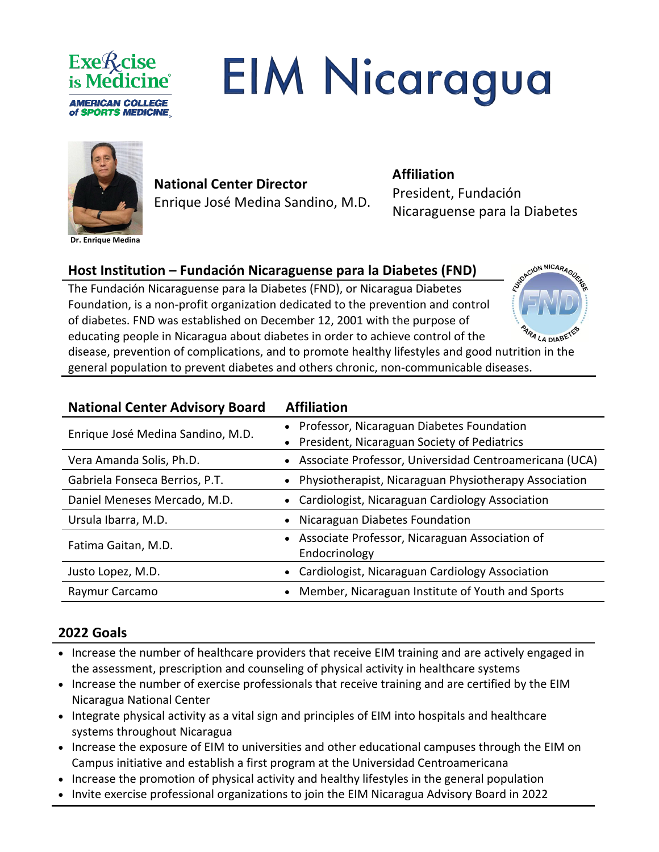

# **EIM Nicaragua**



**Dr. Enrique Medina**

# **National Center Director**  Enrique José Medina Sandino, M.D.

#### **Affiliation**

President, Fundación Nicaraguense para la Diabetes

CIÓN NICARAGUE

4 LA DIABE

## **Host Institution – Fundación Nicaraguense para la Diabetes (FND)**

The Fundación Nicaraguense para la Diabetes (FND), or Nicaragua Diabetes Foundation, is a non-profit organization dedicated to the prevention and control of diabetes. FND was established on December 12, 2001 with the purpose of educating people in Nicaragua about diabetes in order to achieve control of the disease, prevention of complications, and to promote healthy lifestyles and good nutrition in the general population to prevent diabetes and others chronic, non-communicable diseases.

| <b>National Center Advisory Board</b> | <b>Affiliation</b>                                     |
|---------------------------------------|--------------------------------------------------------|
| Enrique José Medina Sandino, M.D.     | Professor, Nicaraguan Diabetes Foundation              |
|                                       | • President, Nicaraguan Society of Pediatrics          |
| Vera Amanda Solis, Ph.D.              | Associate Professor, Universidad Centroamericana (UCA) |
| Gabriela Fonseca Berrios, P.T.        | Physiotherapist, Nicaraguan Physiotherapy Association  |
| Daniel Meneses Mercado, M.D.          | • Cardiologist, Nicaraguan Cardiology Association      |
| Ursula Ibarra, M.D.                   | Nicaraguan Diabetes Foundation                         |
| Fatima Gaitan, M.D.                   | Associate Professor, Nicaraguan Association of         |
|                                       | Endocrinology                                          |
| Justo Lopez, M.D.                     | Cardiologist, Nicaraguan Cardiology Association        |
| Raymur Carcamo                        | Member, Nicaraguan Institute of Youth and Sports       |

#### **2022 Goals**

- Increase the number of healthcare providers that receive EIM training and are actively engaged in the assessment, prescription and counseling of physical activity in healthcare systems
- Increase the number of exercise professionals that receive training and are certified by the EIM Nicaragua National Center
- Integrate physical activity as a vital sign and principles of EIM into hospitals and healthcare systems throughout Nicaragua
- Increase the exposure of EIM to universities and other educational campuses through the EIM on Campus initiative and establish a first program at the Universidad Centroamericana
- Increase the promotion of physical activity and healthy lifestyles in the general population
- Invite exercise professional organizations to join the EIM Nicaragua Advisory Board in 2022